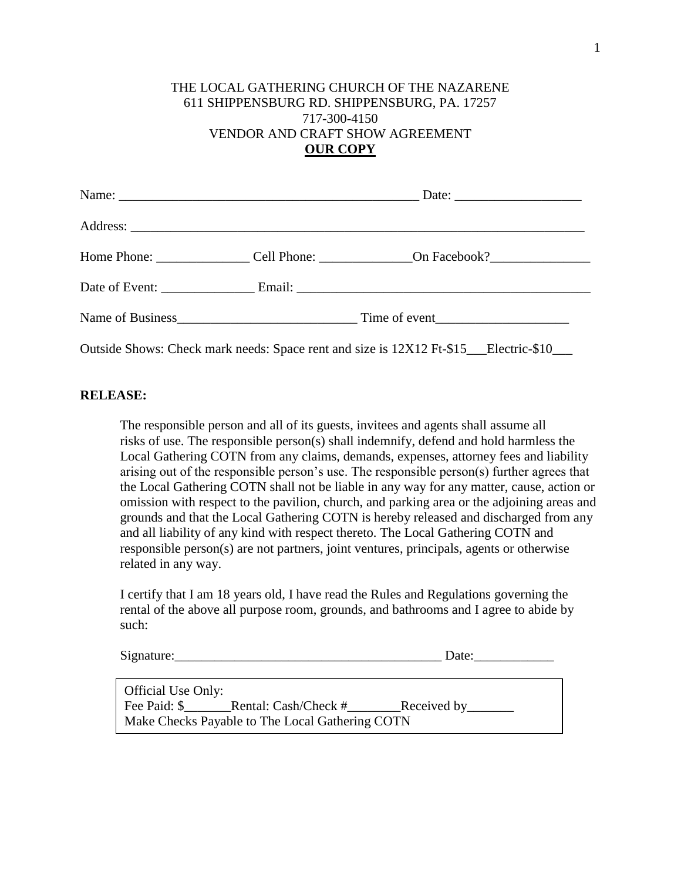## THE LOCAL GATHERING CHURCH OF THE NAZARENE 611 SHIPPENSBURG RD. SHIPPENSBURG, PA. 17257 717-300-4150 VENDOR AND CRAFT SHOW AGREEMENT **OUR COPY**

|  | Date: $\frac{1}{\sqrt{1-\frac{1}{2}} \cdot \frac{1}{2}}$                            |  |
|--|-------------------------------------------------------------------------------------|--|
|  |                                                                                     |  |
|  |                                                                                     |  |
|  |                                                                                     |  |
|  |                                                                                     |  |
|  | Outside Shows: Check mark needs: Space rent and size is 12X12 Ft-\$15 Electric-\$10 |  |

## **RELEASE:**

The responsible person and all of its guests, invitees and agents shall assume all risks of use. The responsible person(s) shall indemnify, defend and hold harmless the Local Gathering COTN from any claims, demands, expenses, attorney fees and liability arising out of the responsible person's use. The responsible person(s) further agrees that the Local Gathering COTN shall not be liable in any way for any matter, cause, action or omission with respect to the pavilion, church, and parking area or the adjoining areas and grounds and that the Local Gathering COTN is hereby released and discharged from any and all liability of any kind with respect thereto. The Local Gathering COTN and responsible person(s) are not partners, joint ventures, principals, agents or otherwise related in any way.

I certify that I am 18 years old, I have read the Rules and Regulations governing the rental of the above all purpose room, grounds, and bathrooms and I agree to abide by such:

| Signature: | Jate |
|------------|------|
|------------|------|

| Official Use Only:                              |                                   |                     |  |  |
|-------------------------------------------------|-----------------------------------|---------------------|--|--|
|                                                 | Fee Paid: \$ Rental: Cash/Check # | Received by________ |  |  |
| Make Checks Payable to The Local Gathering COTN |                                   |                     |  |  |